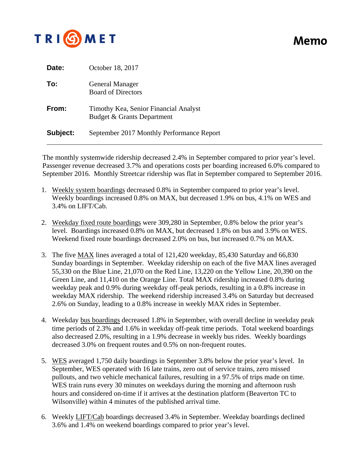

## **Memo**

| Date:    | October 18, 2017                                                    |
|----------|---------------------------------------------------------------------|
| To:      | <b>General Manager</b><br><b>Board of Directors</b>                 |
| From:    | Timothy Kea, Senior Financial Analyst<br>Budget & Grants Department |
| Subject: | September 2017 Monthly Performance Report                           |

The monthly systemwide ridership decreased 2.4% in September compared to prior year's level. Passenger revenue decreased 3.7% and operations costs per boarding increased 6.0% compared to September 2016. Monthly Streetcar ridership was flat in September compared to September 2016.

- 1. Weekly system boardings decreased 0.8% in September compared to prior year's level. Weekly boardings increased 0.8% on MAX, but decreased 1.9% on bus, 4.1% on WES and 3.4% on LIFT/Cab.
- 2. Weekday fixed route boardings were 309,280 in September, 0.8% below the prior year's level. Boardings increased 0.8% on MAX, but decreased 1.8% on bus and 3.9% on WES. Weekend fixed route boardings decreased 2.0% on bus, but increased 0.7% on MAX.
- 3. The five MAX lines averaged a total of 121,420 weekday, 85,430 Saturday and 66,830 Sunday boardings in September. Weekday ridership on each of the five MAX lines averaged 55,330 on the Blue Line, 21,070 on the Red Line, 13,220 on the Yellow Line, 20,390 on the Green Line, and 11,410 on the Orange Line. Total MAX ridership increased 0.8% during weekday peak and 0.9% during weekday off-peak periods, resulting in a 0.8% increase in weekday MAX ridership. The weekend ridership increased 3.4% on Saturday but decreased 2.6% on Sunday, leading to a 0.8% increase in weekly MAX rides in September.
- 4. Weekday bus boardings decreased 1.8% in September, with overall decline in weekday peak time periods of 2.3% and 1.6% in weekday off-peak time periods. Total weekend boardings also decreased 2.0%, resulting in a 1.9% decrease in weekly bus rides. Weekly boardings decreased 3.0% on frequent routes and 0.5% on non-frequent routes.
- 5. WES averaged 1,750 daily boardings in September 3.8% below the prior year's level. In September, WES operated with 16 late trains, zero out of service trains, zero missed pullouts, and two vehicle mechanical failures, resulting in a 97.5% of trips made on time. WES train runs every 30 minutes on weekdays during the morning and afternoon rush hours and considered on-time if it arrives at the destination platform (Beaverton TC to Wilsonville) within 4 minutes of the published arrival time.
- 6. Weekly LIFT/Cab boardings decreased 3.4% in September. Weekday boardings declined 3.6% and 1.4% on weekend boardings compared to prior year's level.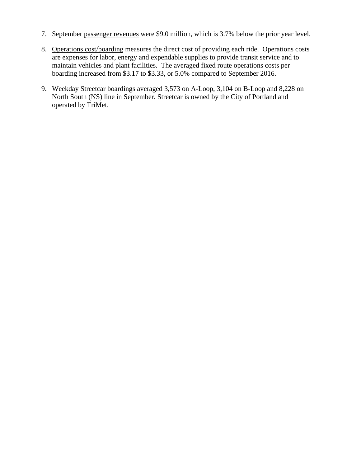- 7. September passenger revenues were \$9.0 million, which is 3.7% below the prior year level.
- 8. Operations cost/boarding measures the direct cost of providing each ride. Operations costs are expenses for labor, energy and expendable supplies to provide transit service and to maintain vehicles and plant facilities. The averaged fixed route operations costs per boarding increased from \$3.17 to \$3.33, or 5.0% compared to September 2016.
- 9. Weekday Streetcar boardings averaged 3,573 on A-Loop, 3,104 on B-Loop and 8,228 on North South (NS) line in September. Streetcar is owned by the City of Portland and operated by TriMet.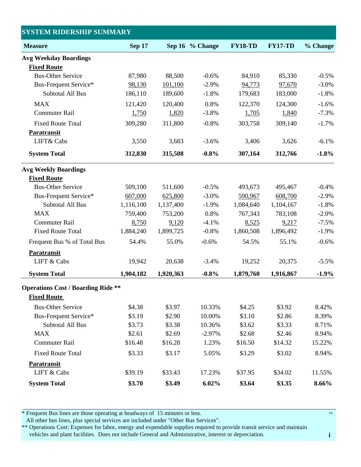| <b>SYSTEM RIDERSHIP SUMMARY</b>                                 |               |                 |          |                |                |          |
|-----------------------------------------------------------------|---------------|-----------------|----------|----------------|----------------|----------|
| <b>Measure</b>                                                  | <b>Sep 17</b> | Sep 16 % Change |          | <b>FY18-TD</b> | <b>FY17-TD</b> | % Change |
| <b>Avg Weekday Boardings</b>                                    |               |                 |          |                |                |          |
| <b>Fixed Route</b>                                              |               |                 |          |                |                |          |
| <b>Bus-Other Service</b>                                        | 87,980        | 88,500          | $-0.6%$  | 84,910         | 85,330         | $-0.5%$  |
| <b>Bus-Frequent Service*</b>                                    | 98,130        | 101,100         | $-2.9%$  | 94,773         | 97,670         | $-3.0\%$ |
| Subtotal All Bus                                                | 186,110       | 189,600         | $-1.8%$  | 179,683        | 183,000        | $-1.8%$  |
| <b>MAX</b>                                                      | 121,420       | 120,400         | 0.8%     | 122,370        | 124,300        | $-1.6%$  |
| <b>Commuter Rail</b>                                            | 1,750         | 1,820           | $-3.8%$  | 1,705          | 1,840          | $-7.3%$  |
| <b>Fixed Route Total</b>                                        | 309,280       | 311,800         | $-0.8%$  | 303,758        | 309,140        | $-1.7%$  |
| Paratransit                                                     |               |                 |          |                |                |          |
| LIFT& Cabs                                                      | 3,550         | 3,683           | $-3.6%$  | 3,406          | 3,626          | $-6.1%$  |
| <b>System Total</b>                                             | 312,830       | 315,508         | $-0.8%$  | 307,164        | 312,766        | $-1.8%$  |
| <b>Avg Weekly Boardings</b>                                     |               |                 |          |                |                |          |
| <b>Fixed Route</b>                                              |               |                 |          |                |                |          |
| <b>Bus-Other Service</b>                                        | 509,100       | 511,600         | $-0.5%$  | 493,673        | 495,467        | $-0.4%$  |
| <b>Bus-Frequent Service*</b>                                    | 607,000       | 625,800         | $-3.0%$  | 590,967        | 608,700        | $-2.9%$  |
| <b>Subtotal All Bus</b>                                         | 1,116,100     | 1,137,400       | $-1.9%$  | 1,084,640      | 1,104,167      | $-1.8%$  |
| <b>MAX</b>                                                      | 759,400       | 753,200         | 0.8%     | 767,343        | 783,108        | $-2.0%$  |
| <b>Commuter Rail</b>                                            | 8,750         | 9,120           | $-4.1%$  | 8,525          | 9,217          | $-7.5%$  |
| <b>Fixed Route Total</b>                                        | 1,884,240     | 1,899,725       | $-0.8%$  | 1,860,508      | 1,896,492      | $-1.9%$  |
| Frequent Bus % of Total Bus                                     | 54.4%         | 55.0%           | $-0.6%$  | 54.5%          | 55.1%          | $-0.6%$  |
| Paratransit                                                     |               |                 |          |                |                |          |
| LIFT & Cabs                                                     | 19,942        | 20,638          | $-3.4%$  | 19,252         | 20,375         | $-5.5%$  |
| <b>System Total</b>                                             | 1,904,182     | 1,920,363       | $-0.8\%$ | 1,879,760      | 1,916,867      | $-1.9%$  |
| <b>Operations Cost / Boarding Ride **</b><br><b>Fixed Route</b> |               |                 |          |                |                |          |
| <b>Bus-Other Service</b>                                        | \$4.38        | \$3.97          | 10.33%   | \$4.25         | \$3.92         | 8.42%    |
| Bus-Frequent Service*                                           | \$3.19        | \$2.90          | 10.00%   | \$3.10         | \$2.86         | 8.39%    |
| <b>Subtotal All Bus</b>                                         | \$3.73        | \$3.38          | 10.36%   | \$3.62         | \$3.33         | 8.71%    |
| <b>MAX</b>                                                      | \$2.61        | \$2.69          | $-2.97%$ | \$2.68         | \$2.46         | 8.94%    |
| <b>Commuter Rail</b>                                            | \$16.48       | \$16.28         | 1.23%    | \$16.50        | \$14.32        | 15.22%   |
| <b>Fixed Route Total</b>                                        | \$3.33        | \$3.17          | 5.05%    | \$3.29         | \$3.02         | 8.94%    |
| <b>Paratransit</b>                                              |               |                 |          |                |                |          |
| LIFT & Cabs                                                     | \$39.19       | \$33.43         | 17.23%   | \$37.95        | \$34.02        | 11.55%   |
| <b>System Total</b>                                             | \$3.70        | \$3.49          | 6.02%    | \$3.64         | \$3.35         | 8.66%    |

\* Frequent Bus lines are those operating at headways of 15 minutes or less.

All other bus lines, plus special services are included under "Other Bus Services".

\*\* Operations Cost: Expenses for labor, energy and expendable supplies required to provide transit service and maintain vehicles and plant facilities. Does not include General and Administrative, interest or depreciation.

TK

**i**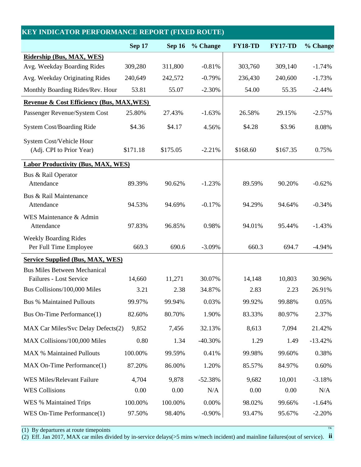| <b>KEY INDICATOR PERFORMANCE REPORT (FIXED ROUTE)</b>  |               |               |           |                |                |           |  |
|--------------------------------------------------------|---------------|---------------|-----------|----------------|----------------|-----------|--|
|                                                        | <b>Sep 17</b> | <b>Sep 16</b> | % Change  | <b>FY18-TD</b> | <b>FY17-TD</b> | % Change  |  |
| Ridership (Bus, MAX, WES)                              |               |               |           |                |                |           |  |
| Avg. Weekday Boarding Rides                            | 309,280       | 311,800       | $-0.81%$  | 303,760        | 309,140        | $-1.74%$  |  |
| Avg. Weekday Originating Rides                         | 240,649       | 242,572       | $-0.79%$  | 236,430        | 240,600        | $-1.73%$  |  |
| Monthly Boarding Rides/Rev. Hour                       | 53.81         | 55.07         | $-2.30%$  | 54.00          | 55.35          | $-2.44%$  |  |
| <b>Revenue &amp; Cost Efficiency (Bus, MAX, WES)</b>   |               |               |           |                |                |           |  |
| Passenger Revenue/System Cost                          | 25.80%        | 27.43%        | $-1.63%$  | 26.58%         | 29.15%         | $-2.57%$  |  |
| <b>System Cost/Boarding Ride</b>                       | \$4.36        | \$4.17        | 4.56%     | \$4.28         | \$3.96         | 8.08%     |  |
| System Cost/Vehicle Hour<br>(Adj. CPI to Prior Year)   | \$171.18      | \$175.05      | $-2.21%$  | \$168.60       | \$167.35       | 0.75%     |  |
| <b>Labor Productivity (Bus, MAX, WES)</b>              |               |               |           |                |                |           |  |
| Bus & Rail Operator<br>Attendance                      | 89.39%        | 90.62%        | $-1.23%$  | 89.59%         | 90.20%         | $-0.62%$  |  |
| Bus & Rail Maintenance<br>Attendance                   | 94.53%        | 94.69%        | $-0.17%$  | 94.29%         | 94.64%         | $-0.34%$  |  |
| WES Maintenance & Admin<br>Attendance                  | 97.83%        | 96.85%        | 0.98%     | 94.01%         | 95.44%         | $-1.43%$  |  |
| <b>Weekly Boarding Rides</b><br>Per Full Time Employee | 669.3         | 690.6         | $-3.09%$  | 660.3          | 694.7          | $-4.94%$  |  |
| <b>Service Supplied (Bus, MAX, WES)</b>                |               |               |           |                |                |           |  |
| <b>Bus Miles Between Mechanical</b>                    |               |               |           |                |                |           |  |
| Failures - Lost Service                                | 14,660        | 11,271        | 30.07%    | 14,148         | 10,803         | 30.96%    |  |
| Bus Collisions/100,000 Miles                           | 3.21          | 2.38          | 34.87%    | 2.83           | 2.23           | 26.91%    |  |
| <b>Bus % Maintained Pullouts</b>                       | 99.97%        | 99.94%        | 0.03%     | 99.92%         | 99.88%         | 0.05%     |  |
| Bus On-Time Performance(1)                             | 82.60%        | 80.70%        | 1.90%     | 83.33%         | 80.97%         | 2.37%     |  |
| MAX Car Miles/Svc Delay Defects(2)                     | 9,852         | 7,456         | 32.13%    | 8,613          | 7,094          | 21.42%    |  |
| MAX Collisions/100,000 Miles                           | 0.80          | 1.34          | $-40.30%$ | 1.29           | 1.49           | $-13.42%$ |  |
| <b>MAX % Maintained Pullouts</b>                       | 100.00%       | 99.59%        | 0.41%     | 99.98%         | 99.60%         | 0.38%     |  |
| MAX On-Time Performance(1)                             | 87.20%        | 86.00%        | 1.20%     | 85.57%         | 84.97%         | 0.60%     |  |
| WES Miles/Relevant Failure                             | 4,704         | 9,878         | $-52.38%$ | 9,682          | 10,001         | $-3.18%$  |  |
| <b>WES Collisions</b>                                  | 0.00          | 0.00          | N/A       | 0.00           | 0.00           | N/A       |  |
| WES % Maintained Trips                                 | 100.00%       | 100.00%       | 0.00%     | 98.02%         | 99.66%         | $-1.64%$  |  |
| WES On-Time Performance(1)                             | 97.50%        | 98.40%        | $-0.90%$  | 93.47%         | 95.67%         | $-2.20%$  |  |

(1) By departures at route timepoints  $T<sup>K</sup>$ 

**ii** (2) Eff. Jan 2017, MAX car miles divided by in-service delays(>5 mins w/mech incident) and mainline failures(out of service).